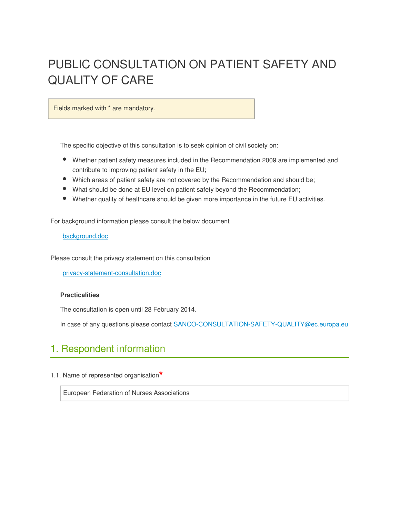# PUBLIC CONSULTATION ON PATIENT SAFETY AND QUALITY OF CARE

Fields marked with \* are mandatory.

The specific objective of this consultation is to seek opinion of civil society on:

- Whether patient safety measures included in the Recommendation 2009 are implemented and contribute to improving patient safety in the EU;
- Which areas of patient safety are not covered by the Recommendation and should be;
- What should be done at EU level on patient safety beyond the Recommendation;
- Whether quality of healthcare should be given more importance in the future EU activities.

For background information please consult the below document

#### background.doc

Please consult the privacy statement on this consultation

privacy-statement-consultation.doc

#### **Practicalities**

The consultation is open until 28 February 2014.

In case of any questions please contact SANCO-CONSULTATION-SAFETY-QUALITY@ec.europa.eu

# 1. Respondent information

1.1. Name of represented organisation**\***

European Federation of Nurses Associations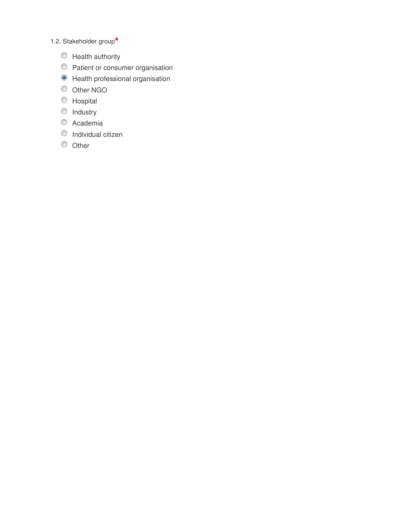## 1.2. Stakeholder group**\***

- $\circledcirc$  Health authority
- **O** Patient or consumer organisation
- $\bullet$  Health professional organisation
- Other NGO
- **O** Hospital
- $\bullet$  Industry
- Academia
- **Individual citizen**
- $\circledcirc$  Other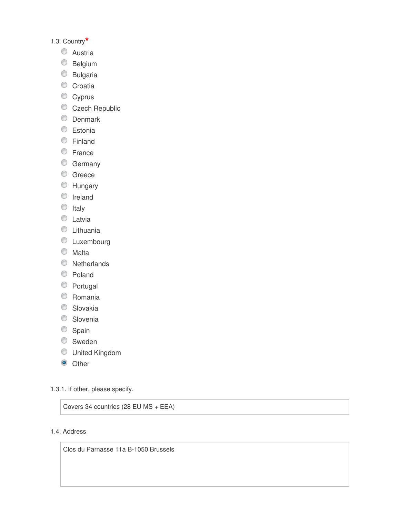### 1.3. Country**\***

- **C** Austria
- **Belgium**
- Bulgaria
- Croatia
- Cyprus
- Czech Republic
- **C** Denmark
- **Estonia**
- **Einland**
- **E**rance
- **C** Germany
- **C** Greece
- **EXT** Hungary
- **O** Ireland
- $\circ$  Italy
- C Latvia
- **C** Lithuania
- $\circledcirc$  Luxembourg
- Malta
- **Netherlands**
- Poland
- Portugal
- Romania
- **Slovakia**
- **Slovenia**
- Spain
- **Sweden**
- United Kingdom
- <sup>O</sup> Other

### 1.3.1. If other, please specify.

Covers 34 countries (28 EU MS + EEA)

### 1.4. Address

Clos du Parnasse 11a B-1050 Brussels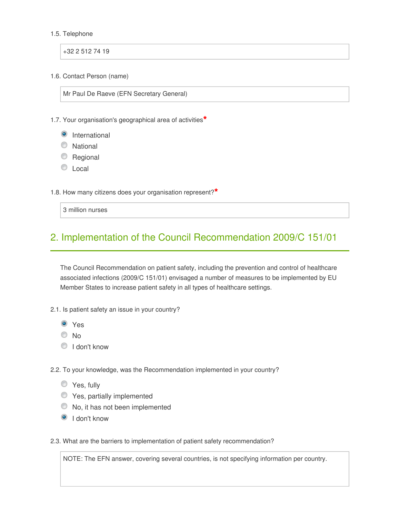#### 1.5. Telephone

+32 2 512 74 19

1.6. Contact Person (name)

Mr Paul De Raeve (EFN Secretary General)

1.7. Your organisation's geographical area of activities**\***

- **O** International
- C National
- **Regional**
- C Local

1.8. How many citizens does your organisation represent?**\***

3 million nurses

# 2. Implementation of the Council Recommendation 2009/C 151/01

The Council Recommendation on patient safety, including the prevention and control of healthcare associated infections (2009/C 151/01) envisaged a number of measures to be implemented by EU Member States to increase patient safety in all types of healthcare settings.

- 2.1. Is patient safety an issue in your country?
	- Yes
	- <sup>O</sup>No
	- <sup>O</sup> I don't know

2.2. To your knowledge, was the Recommendation implemented in your country?

- **Yes**, fully
- **C** Yes, partially implemented
- $\bullet$  No, it has not been implemented
- <sup>O</sup> I don't know

2.3. What are the barriers to implementation of patient safety recommendation?

NOTE: The EFN answer, covering several countries, is not specifying information per country.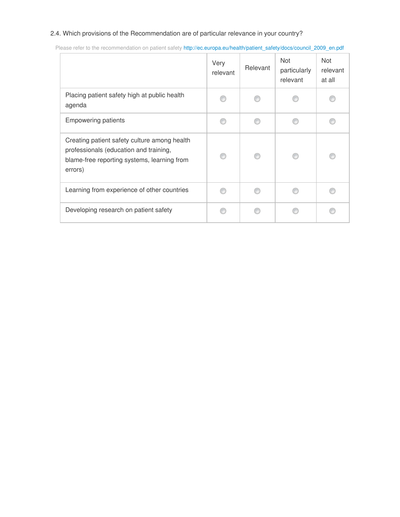### 2.4. Which provisions of the Recommendation are of particular relevance in your country?

|                                                                                                                                                  | Very<br>relevant | Relevant | <b>Not</b><br>particularly<br>relevant | <b>Not</b><br>relevant<br>at all |
|--------------------------------------------------------------------------------------------------------------------------------------------------|------------------|----------|----------------------------------------|----------------------------------|
| Placing patient safety high at public health<br>agenda                                                                                           |                  |          |                                        |                                  |
| <b>Empowering patients</b>                                                                                                                       |                  |          |                                        |                                  |
| Creating patient safety culture among health<br>professionals (education and training,<br>blame-free reporting systems, learning from<br>errors) |                  |          |                                        |                                  |
| Learning from experience of other countries                                                                                                      |                  |          |                                        |                                  |
| Developing research on patient safety                                                                                                            |                  |          |                                        |                                  |

Please refer to the recommendation on patient safety http://ec.europa.eu/health/patient\_safety/docs/council\_2009\_en.pdf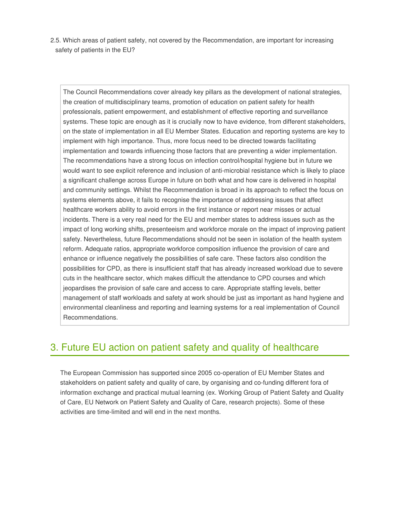2.5. Which areas of patient safety, not covered by the Recommendation, are important for increasing safety of patients in the EU?

The Council Recommendations cover already key pillars as the development of national strategies, the creation of multidisciplinary teams, promotion of education on patient safety for health professionals, patient empowerment, and establishment of effective reporting and surveillance systems. These topic are enough as it is crucially now to have evidence, from different stakeholders, on the state of implementation in all EU Member States. Education and reporting systems are key to implement with high importance. Thus, more focus need to be directed towards facilitating implementation and towards influencing those factors that are preventing a wider implementation. The recommendations have a strong focus on infection control/hospital hygiene but in future we would want to see explicit reference and inclusion of anti-microbial resistance which is likely to place a significant challenge across Europe in future on both what and how care is delivered in hospital and community settings. Whilst the Recommendation is broad in its approach to reflect the focus on systems elements above, it fails to recognise the importance of addressing issues that affect healthcare workers ability to avoid errors in the first instance or report near misses or actual incidents. There is a very real need for the EU and member states to address issues such as the impact of long working shifts, presenteeism and workforce morale on the impact of improving patient safety. Nevertheless, future Recommendations should not be seen in isolation of the health system reform. Adequate ratios, appropriate workforce composition influence the provision of care and enhance or influence negatively the possibilities of safe care. These factors also condition the possibilities for CPD, as there is insufficient staff that has already increased workload due to severe cuts in the healthcare sector, which makes difficult the attendance to CPD courses and which jeopardises the provision of safe care and access to care. Appropriate staffing levels, better management of staff workloads and safety at work should be just as important as hand hygiene and environmental cleanliness and reporting and learning systems for a real implementation of Council Recommendations.

# 3. Future EU action on patient safety and quality of healthcare

The European Commission has supported since 2005 co-operation of EU Member States and stakeholders on patient safety and quality of care, by organising and co-funding different fora of information exchange and practical mutual learning (ex. Working Group of Patient Safety and Quality of Care, EU Network on Patient Safety and Quality of Care, research projects). Some of these activities are time-limited and will end in the next months.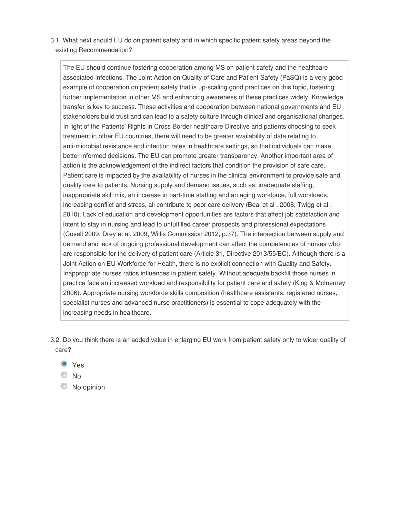3.1. What next should EU do on patient safety and in which specific patient safety areas beyond the existing Recommendation?

The EU should continue fostering cooperation among MS on patient safety and the healthcare associated infections. The Joint Action on Quality of Care and Patient Safety (PaSQ) is a very good example of cooperation on patient safety that is up-scaling good practices on this topic, fostering further implementation in other MS and enhancing awareness of these practices widely. Knowledge transfer is key to success. These activities and cooperation between national governments and EU stakeholders build trust and can lead to a safety culture through clinical and organisational changes. In light of the Patients' Rights in Cross Border healthcare Directive and patients choosing to seek treatment in other EU countries, there will need to be greater availability of data relating to anti-microbial resistance and infection rates in healthcare settings, so that individuals can make better informed decisions. The EU can promote greater transparency. Another important area of action is the acknowledgement of the indirect factors that condition the provision of safe care. Patient care is impacted by the availability of nurses in the clinical environment to provide safe and quality care to patients. Nursing supply and demand issues, such as: inadequate staffing, inappropriate skill mix, an increase in part-time staffing and an aging workforce, full workloads, increasing conflict and stress, all contribute to poor care delivery (Beal et al . 2008, Twigg et al . 2010). Lack of education and development opportunities are factors that affect job satisfaction and intent to stay in nursing and lead to unfulfilled career prospects and professional expectations (Covell 2009, Drey et al. 2009, Willis Commission 2012, p.37). The intersection between supply and demand and lack of ongoing professional development can affect the competencies of nurses who are responsible for the delivery of patient care (Article 31, Directive 2013/55/EC). Although there is a Joint Action on EU Workforce for Health, there is no explicit connection with Quality and Safety. Inappropriate nurses ratios influences in patient safety. Without adequate backfill those nurses in practice face an increased workload and responsibility for patient care and safety (King & McInerney 2006). Appropriate nursing workforce skills composition (healthcare assistants, registered nurses, specialist nurses and advanced nurse practitioners) is essential to cope adequately with the increasing needs in healthcare.

- 3.2. Do you think there is an added value in enlarging EU work from patient safety only to wider quality of care?
	- Yes
	- © No
	- $\bullet$  No opinion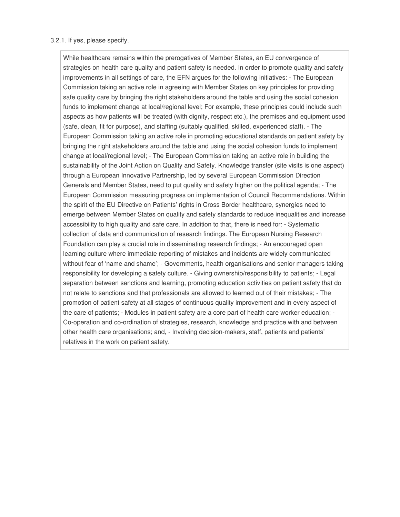#### 3.2.1. If yes, please specify.

While healthcare remains within the prerogatives of Member States, an EU convergence of strategies on health care quality and patient safety is needed. In order to promote quality and safety improvements in all settings of care, the EFN argues for the following initiatives: - The European Commission taking an active role in agreeing with Member States on key principles for providing safe quality care by bringing the right stakeholders around the table and using the social cohesion funds to implement change at local/regional level; For example, these principles could include such aspects as how patients will be treated (with dignity, respect etc.), the premises and equipment used (safe, clean, fit for purpose), and staffing (suitably qualified, skilled, experienced staff). - The European Commission taking an active role in promoting educational standards on patient safety by bringing the right stakeholders around the table and using the social cohesion funds to implement change at local/regional level; - The European Commission taking an active role in building the sustainability of the Joint Action on Quality and Safety. Knowledge transfer (site visits is one aspect) through a European Innovative Partnership, led by several European Commission Direction Generals and Member States, need to put quality and safety higher on the political agenda; - The European Commission measuring progress on implementation of Council Recommendations. Within the spirit of the EU Directive on Patients' rights in Cross Border healthcare, synergies need to emerge between Member States on quality and safety standards to reduce inequalities and increase accessibility to high quality and safe care. In addition to that, there is need for: - Systematic collection of data and communication of research findings. The European Nursing Research Foundation can play a crucial role in disseminating research findings; - An encouraged open learning culture where immediate reporting of mistakes and incidents are widely communicated without fear of 'name and shame'; - Governments, health organisations and senior managers taking responsibility for developing a safety culture. - Giving ownership/responsibility to patients; - Legal separation between sanctions and learning, promoting education activities on patient safety that do not relate to sanctions and that professionals are allowed to learned out of their mistakes; - The promotion of patient safety at all stages of continuous quality improvement and in every aspect of the care of patients; - Modules in patient safety are a core part of health care worker education; - Co-operation and co-ordination of strategies, research, knowledge and practice with and between other health care organisations; and, - Involving decision-makers, staff, patients and patients' relatives in the work on patient safety.